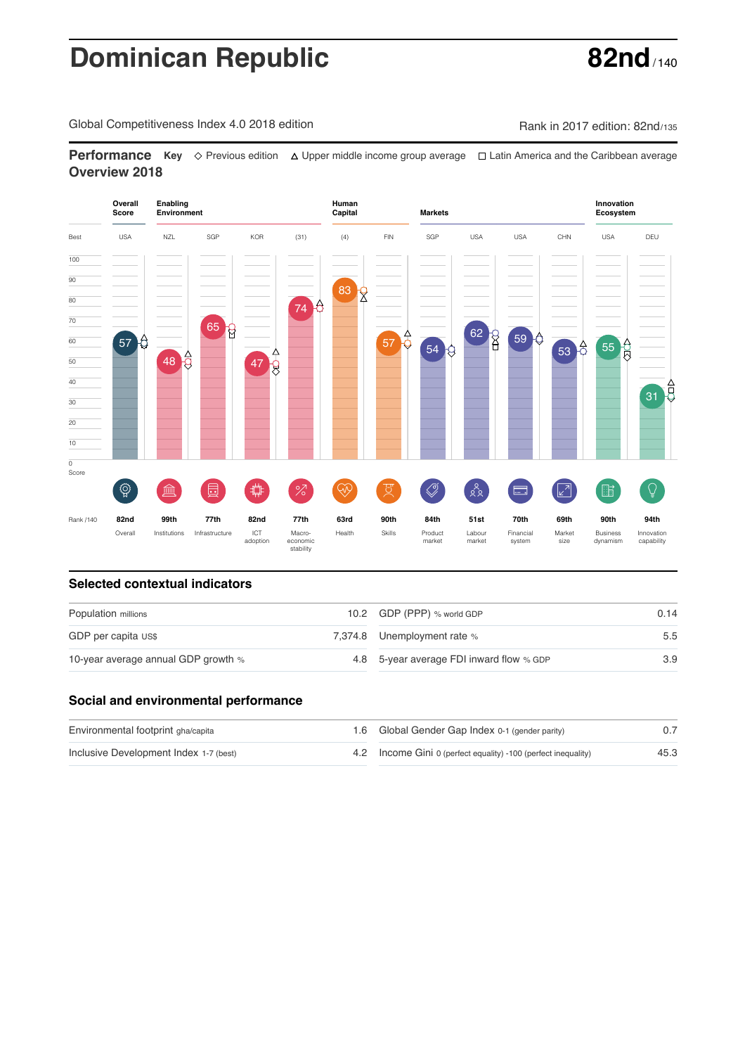# **Dominican Republic 62nd**

Global Competitiveness Index 4.0 2018 edition Rank in 2017 edition: 82nd/135

**Performance** Key ◇ Previous edition △ Upper middle income group average □ Latin America and the Caribbean average **Overview 2018**



### **Selected contextual indicators**

| Population millions                 | 10.2 GDP (PPP) % world GDP               | 0.14 |  |
|-------------------------------------|------------------------------------------|------|--|
| GDP per capita US\$                 | 7,374.8 Unemployment rate %              | 5.5  |  |
| 10-year average annual GDP growth % | 4.8 5-year average FDI inward flow % GDP | 3.9  |  |

### **Social and environmental performance**

| Environmental footprint gha/capita     | 1.6 Global Gender Gap Index 0-1 (gender parity)                |      |
|----------------------------------------|----------------------------------------------------------------|------|
| Inclusive Development Index 1-7 (best) | 4.2 Income Gini 0 (perfect equality) -100 (perfect inequality) | 45.3 |

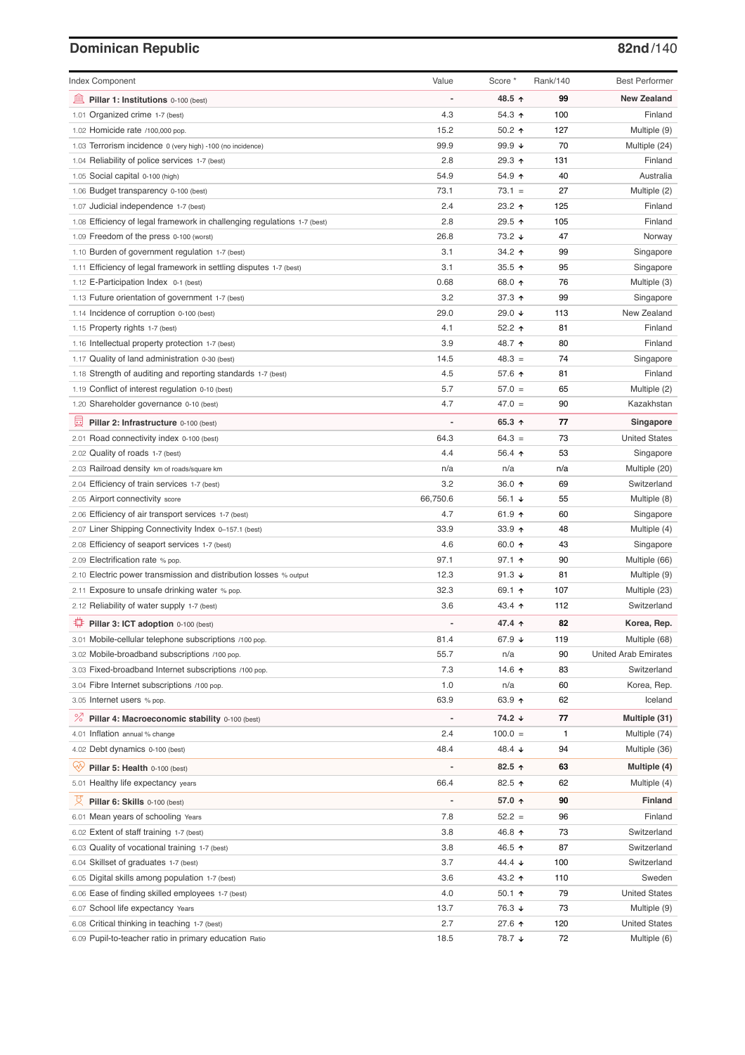# **Dominican Republic 82nd**/140

| <b>Index Component</b>                                                             | Value                        | Score *            | Rank/140 | <b>Best Performer</b>                |
|------------------------------------------------------------------------------------|------------------------------|--------------------|----------|--------------------------------------|
| 寙<br>Pillar 1: Institutions 0-100 (best)                                           |                              | 48.5 ↑             | 99       | <b>New Zealand</b>                   |
| Organized crime 1-7 (best)<br>1.01                                                 | 4.3                          | 54.3 ↑             | 100      | Finland                              |
| 1.02 Homicide rate /100,000 pop.                                                   | 15.2                         | 50.2 ↑             | 127      | Multiple (9)                         |
| 1.03 Terrorism incidence 0 (very high) -100 (no incidence)                         | 99.9                         | 99.9 $\sqrt{ }$    | 70       | Multiple (24)                        |
| 1.04 Reliability of police services 1-7 (best)                                     | 2.8                          | 29.3 ↑             | 131      | Finland                              |
| 1.05 Social capital 0-100 (high)                                                   | 54.9                         | 54.9 ↑             | 40       | Australia                            |
| 1.06 Budget transparency 0-100 (best)                                              | 73.1                         | $73.1 =$           | 27       | Multiple (2)                         |
| 1.07 Judicial independence 1-7 (best)                                              | 2.4                          | 23.2 ↑             | 125      | Finland                              |
| 1.08 Efficiency of legal framework in challenging regulations 1-7 (best)           | 2.8                          | 29.5 ↑             | 105      | Finland                              |
| 1.09 Freedom of the press 0-100 (worst)                                            | 26.8                         | 73.2 ↓             | 47       | Norway                               |
| 1.10 Burden of government regulation 1-7 (best)                                    | 3.1                          | 34.2 ↑             | 99       | Singapore                            |
| 1.11 Efficiency of legal framework in settling disputes 1-7 (best)                 | 3.1                          | 35.5 $\uparrow$    | 95       | Singapore                            |
| 1.12 E-Participation Index 0-1 (best)                                              | 0.68                         | 68.0 ↑             | 76       | Multiple (3)                         |
| 1.13 Future orientation of government 1-7 (best)                                   | 3.2                          | 37.3 ↑             | 99       | Singapore                            |
| 1.14 Incidence of corruption 0-100 (best)                                          | 29.0                         | 29.0 ↓             | 113      | New Zealand                          |
| 1.15 Property rights 1-7 (best)                                                    | 4.1                          | 52.2 $\uparrow$    | 81       | Finland                              |
| 1.16 Intellectual property protection 1-7 (best)                                   | 3.9                          | 48.7 ↑             | 80       | Finland                              |
| 1.17 Quality of land administration 0-30 (best)                                    | 14.5                         | $48.3 =$           | 74       | Singapore                            |
| 1.18 Strength of auditing and reporting standards 1-7 (best)                       | 4.5                          | 57.6 ↑             | 81       | Finland                              |
| 1.19 Conflict of interest regulation 0-10 (best)                                   | 5.7                          | $57.0 =$           | 65       | Multiple (2)                         |
| 1.20 Shareholder governance 0-10 (best)                                            | 4.7                          | $47.0 =$           | 90       | Kazakhstan                           |
| 員<br>Pillar 2: Infrastructure 0-100 (best)                                         |                              | 65.3 ↑             | 77       | Singapore                            |
| 2.01 Road connectivity index 0-100 (best)                                          | 64.3                         | $64.3 =$           | 73       | <b>United States</b>                 |
| 2.02 Quality of roads 1-7 (best)                                                   | 4.4                          | 56.4 ↑             | 53       | Singapore                            |
| 2.03 Railroad density km of roads/square km                                        | n/a                          | n/a                | n/a      | Multiple (20)                        |
| 2.04 Efficiency of train services 1-7 (best)                                       | 3.2                          | 36.0 ↑             | 69       | Switzerland                          |
| 2.05 Airport connectivity score                                                    | 66,750.6                     | 56.1 $\sqrt{ }$    | 55       | Multiple (8)                         |
| 2.06 Efficiency of air transport services 1-7 (best)                               | 4.7                          | 61.9 $\uparrow$    | 60       | Singapore                            |
| 2.07 Liner Shipping Connectivity Index 0-157.1 (best)                              | 33.9                         | 33.9 $\uparrow$    | 48       | Multiple (4)                         |
| 2.08 Efficiency of seaport services 1-7 (best)                                     | 4.6                          | 60.0 ↑             | 43       | Singapore                            |
| 2.09 Electrification rate % pop.                                                   | 97.1                         | 97.1 ↑             | 90       | Multiple (66)                        |
| 2.10 Electric power transmission and distribution losses % output                  | 12.3                         | 91.3 $\sqrt{ }$    | 81       | Multiple (9)                         |
| 2.11 Exposure to unsafe drinking water % pop.                                      | 32.3                         | 69.1 $\uparrow$    | 107      | Multiple (23)                        |
| 2.12 Reliability of water supply 1-7 (best)                                        | 3.6                          | 43.4 $\uparrow$    | 112      | Switzerland                          |
| O<br>Pillar 3: ICT adoption 0-100 (best)                                           |                              | 47.4 ↑             | 82       | Korea, Rep.                          |
| 3.01 Mobile-cellular telephone subscriptions /100 pop.                             | 81.4                         | 67.9 ↓             | 119      | Multiple (68)                        |
| 3.02 Mobile-broadband subscriptions /100 pop.                                      | 55.7                         | n/a                | 90       | <b>United Arab Emirates</b>          |
| 3.03 Fixed-broadband Internet subscriptions /100 pop.                              | 7.3                          | 14.6 $\uparrow$    | 83       | Switzerland                          |
| 3.04 Fibre Internet subscriptions /100 pop.                                        | 1.0                          | n/a                | 60       | Korea, Rep.                          |
| 3.05 Internet users % pop.                                                         | 63.9                         | 63.9 $\uparrow$    | 62       | Iceland                              |
| ℅<br>Pillar 4: Macroeconomic stability 0-100 (best)                                | $\qquad \qquad \blacksquare$ | 74.2 ↓             | 77       | Multiple (31)                        |
| 4.01 Inflation annual % change                                                     | 2.4                          | $100.0 =$          | 1        | Multiple (74)                        |
| 4.02 Debt dynamics 0-100 (best)                                                    | 48.4                         | 48.4 ↓             | 94       | Multiple (36)                        |
| Qv<br>Pillar 5: Health 0-100 (best)                                                | ÷                            | 82.5 ↑             | 63       | Multiple (4)                         |
| 5.01 Healthy life expectancy years                                                 | 66.4                         | 82.5 个             | 62       | Multiple (4)                         |
| 섯                                                                                  | $\overline{a}$               | 57.0 ↑             | 90       | Finland                              |
| Pillar 6: Skills 0-100 (best)                                                      |                              |                    |          |                                      |
| 6.01 Mean years of schooling Years                                                 | 7.8<br>3.8                   | $52.2 =$<br>46.8 ↑ | 96<br>73 | Finland<br>Switzerland               |
| 6.02 Extent of staff training 1-7 (best)                                           | 3.8                          | 46.5 ↑             | 87       | Switzerland                          |
| 6.03 Quality of vocational training 1-7 (best)                                     |                              |                    |          |                                      |
| 6.04 Skillset of graduates 1-7 (best)                                              | 3.7                          | 44.4 ↓             | 100      | Switzerland                          |
| 6.05 Digital skills among population 1-7 (best)                                    | 3.6                          | 43.2 ↑             | 110      | Sweden                               |
| 6.06 Ease of finding skilled employees 1-7 (best)                                  | 4.0<br>13.7                  | $50.1$ ↑<br>76.3 ↓ | 79<br>73 | <b>United States</b>                 |
| 6.07 School life expectancy Years<br>6.08 Critical thinking in teaching 1-7 (best) | 2.7                          | 27.6 ↑             | 120      | Multiple (9)<br><b>United States</b> |
| 6.09 Pupil-to-teacher ratio in primary education Ratio                             | 18.5                         | 78.7 ↓             | 72       | Multiple (6)                         |